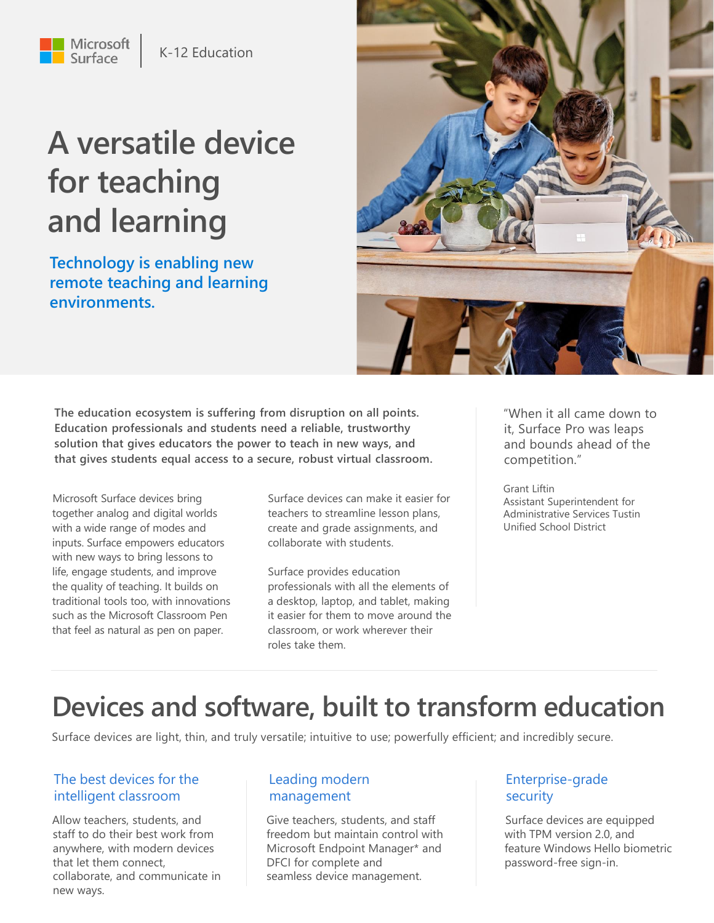# **A versatile device for teaching and learning**

Microsoft<br>Surface

**Technology is enabling new remote teaching and learning environments.**



**The education ecosystem is suffering from disruption on all points. Education professionals and students need a reliable, trustworthy solution that gives educators the power to teach in new ways, and that gives students equal access to a secure, robust virtual classroom.**

Microsoft Surface devices bring together analog and digital worlds with a wide range of modes and inputs. Surface empowers educators with new ways to bring lessons to life, engage students, and improve the quality of teaching. It builds on traditional tools too, with innovations such as the Microsoft Classroom Pen that feel as natural as pen on paper.

Surface devices can make it easier for teachers to streamline lesson plans, create and grade assignments, and collaborate with students.

Surface provides education professionals with all the elements of a desktop, laptop, and tablet, making it easier for them to move around the classroom, or work wherever their roles take them.

"When it all came down to it, Surface Pro was leaps and bounds ahead of the competition."

Grant Liftin Assistant Superintendent for Administrative Services Tustin Unified School District

# **Devices and software, built to transform education**

Surface devices are light, thin, and truly versatile; intuitive to use; powerfully efficient; and incredibly secure.

# The best devices for the intelligent classroom

Allow teachers, students, and staff to do their best work from anywhere, with modern devices that let them connect, collaborate, and communicate in new ways.

#### Leading modern management

Give teachers, students, and staff freedom but maintain control with Microsoft Endpoint Manager\* and DFCI for complete and seamless device management.

# Enterprise-grade security

Surface devices are equipped with TPM version 2.0, and feature Windows Hello biometric password-free sign-in.